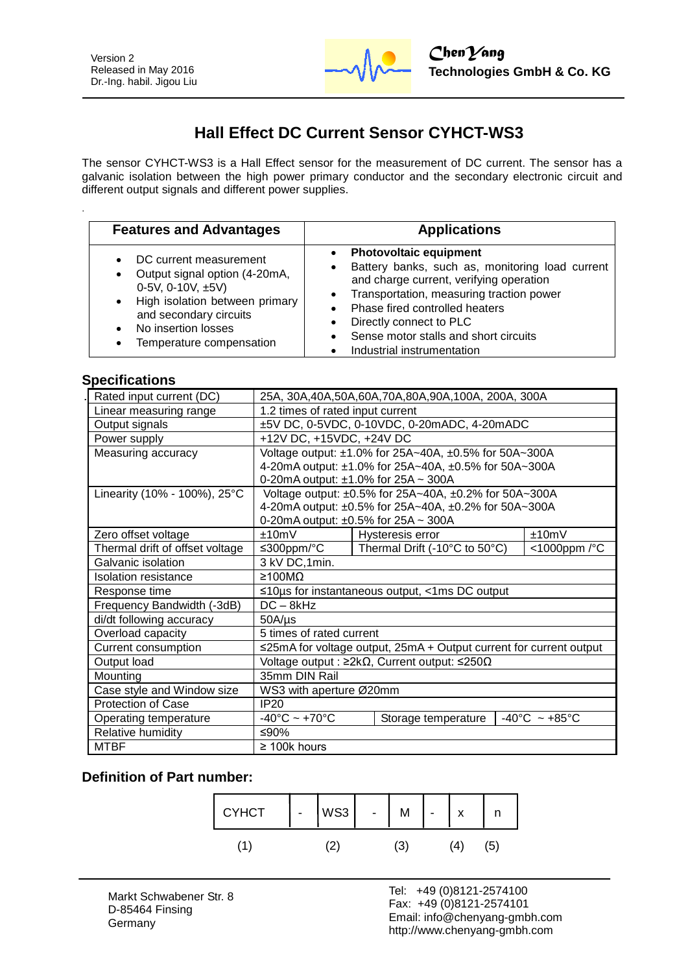

# **Hall Effect DC Current Sensor CYHCT-WS3**

The sensor CYHCT-WS3 is a Hall Effect sensor for the measurement of DC current. The sensor has a galvanic isolation between the high power primary conductor and the secondary electronic circuit and different output signals and different power supplies.

| <b>Features and Advantages</b>                                                                                                                                                                   | <b>Applications</b>                                                                                                                                                                                                                                                                                                                                                  |
|--------------------------------------------------------------------------------------------------------------------------------------------------------------------------------------------------|----------------------------------------------------------------------------------------------------------------------------------------------------------------------------------------------------------------------------------------------------------------------------------------------------------------------------------------------------------------------|
| DC current measurement<br>Output signal option (4-20mA,<br>0-5V, 0-10V, $\pm$ 5V)<br>High isolation between primary<br>and secondary circuits<br>No insertion losses<br>Temperature compensation | <b>Photovoltaic equipment</b><br>$\bullet$<br>Battery banks, such as, monitoring load current<br>٠<br>and charge current, verifying operation<br>Transportation, measuring traction power<br>$\bullet$<br>Phase fired controlled heaters<br>$\bullet$<br>Directly connect to PLC<br>Sense motor stalls and short circuits<br>$\bullet$<br>Industrial instrumentation |

## **Specifications**

.

| Rated input current (DC)        | 25A, 30A, 40A, 50A, 60A, 70A, 80A, 90A, 100A, 200A, 300A            |  |                               |  |                                    |
|---------------------------------|---------------------------------------------------------------------|--|-------------------------------|--|------------------------------------|
| Linear measuring range          | 1.2 times of rated input current                                    |  |                               |  |                                    |
| Output signals                  | ±5V DC, 0-5VDC, 0-10VDC, 0-20mADC, 4-20mADC                         |  |                               |  |                                    |
| Power supply                    | +12V DC, +15VDC, +24V DC                                            |  |                               |  |                                    |
| Measuring accuracy              | Voltage output: ±1.0% for 25A~40A, ±0.5% for 50A~300A               |  |                               |  |                                    |
|                                 | 4-20mA output: ±1.0% for 25A~40A, ±0.5% for 50A~300A                |  |                               |  |                                    |
|                                 | 0-20mA output: $\pm 1.0\%$ for 25A ~ 300A                           |  |                               |  |                                    |
| Linearity (10% - 100%), 25°C    | Voltage output: ±0.5% for 25A~40A, ±0.2% for 50A~300A               |  |                               |  |                                    |
|                                 | 4-20mA output: ±0.5% for 25A~40A, ±0.2% for 50A~300A                |  |                               |  |                                    |
|                                 | 0-20mA output: $\pm 0.5\%$ for 25A ~ 300A                           |  |                               |  |                                    |
| Zero offset voltage             | ±10mV                                                               |  | Hysteresis error              |  | ±10mV                              |
| Thermal drift of offset voltage | ≤300ppm/ $°C$                                                       |  | Thermal Drift (-10°C to 50°C) |  | <1000ppm /°C                       |
| Galvanic isolation              | 3 kV DC, 1min.                                                      |  |                               |  |                                    |
| Isolation resistance            | ≥100MΩ                                                              |  |                               |  |                                    |
| Response time                   | $\leq$ 10µs for instantaneous output, <1ms DC output                |  |                               |  |                                    |
| Frequency Bandwidth (-3dB)      | $DC - 8kHz$                                                         |  |                               |  |                                    |
| di/dt following accuracy        | $50A/\mu s$                                                         |  |                               |  |                                    |
| Overload capacity               | 5 times of rated current                                            |  |                               |  |                                    |
| Current consumption             | ≤25mA for voltage output, 25mA + Output current for current output  |  |                               |  |                                    |
| Output load                     | Voltage output : $\geq 2k\Omega$ , Current output: $\leq 250\Omega$ |  |                               |  |                                    |
| Mounting                        | 35mm DIN Rail                                                       |  |                               |  |                                    |
| Case style and Window size      | WS3 with aperture Ø20mm                                             |  |                               |  |                                    |
| <b>Protection of Case</b>       | IP20                                                                |  |                               |  |                                    |
| Operating temperature           | $-40^{\circ}$ C ~ +70 $^{\circ}$ C                                  |  | Storage temperature           |  | $-40^{\circ}$ C ~ +85 $^{\circ}$ C |
| Relative humidity               | ≤90%                                                                |  |                               |  |                                    |
| <b>MTBF</b>                     | $\geq$ 100k hours                                                   |  |                               |  |                                    |

### **Definition of Part number:**

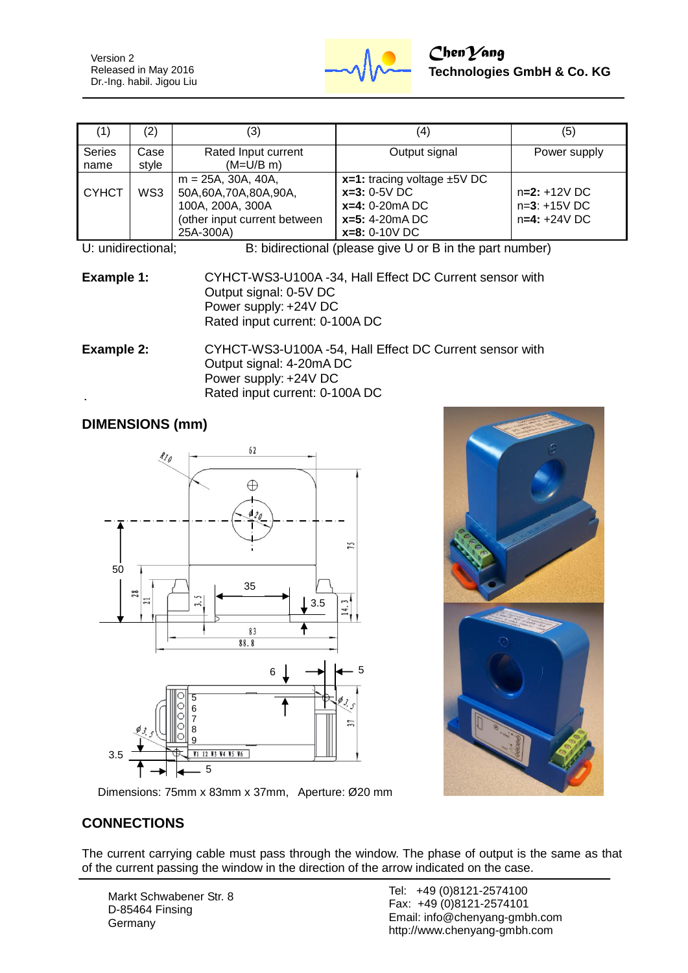Version 2 Released in May 2016 Dr.-Ing. habil. Jigou Liu



| (1)            | (2)           | (3)                                                                                                            | (4)                                                                                                           | (5)                                                |
|----------------|---------------|----------------------------------------------------------------------------------------------------------------|---------------------------------------------------------------------------------------------------------------|----------------------------------------------------|
| Series<br>name | Case<br>style | Rated Input current<br>$(M=U/B \, m)$                                                                          | Output signal                                                                                                 | Power supply                                       |
| <b>CYHCT</b>   | WS3           | $m = 25A$ , 30A, 40A,<br>50A,60A,70A,80A,90A,<br>100A, 200A, 300A<br>(other input current between<br>25A-300A) | $x=1$ : tracing voltage $\pm$ 5V DC<br>$x=3:0-5V$ DC<br>$x=4: 0-20mA DC$<br>$x=5: 4-20mADC$<br>$x=8:0-10V$ DC | $n=2: +12V$ DC<br>$n=3: +15V$ DC<br>$n=4: +24V$ DC |

U: unidirectional; B: bidirectional (please give U or B in the part number)

**Example 1:** CYHCT-WS3-U100A -34, Hall Effect DC Current sensor with Output signal: 0-5V DC Power supply: +24V DC Rated input current: 0-100A DC

**Example 2:** CYHCT-WS3-U100A -54, Hall Effect DC Current sensor with Output signal: 4-20mA DC Power supply: +24V DC Rated input current: 0-100A DC

## **DIMENSIONS (mm)**





Dimensions: 75mm x 83mm x 37mm, Aperture: Ø20 mm

## **CONNECTIONS**

The current carrying cable must pass through the window. The phase of output is the same as that of the current passing the window in the direction of the arrow indicated on the case.

Markt Schwabener Str. 8 D-85464 Finsing **Germany** 

Tel: +49 (0)8121-2574100 Fax: +49 (0)8121-2574101 Email: info@chenyang-gmbh.com http://www.chenyang-gmbh.com